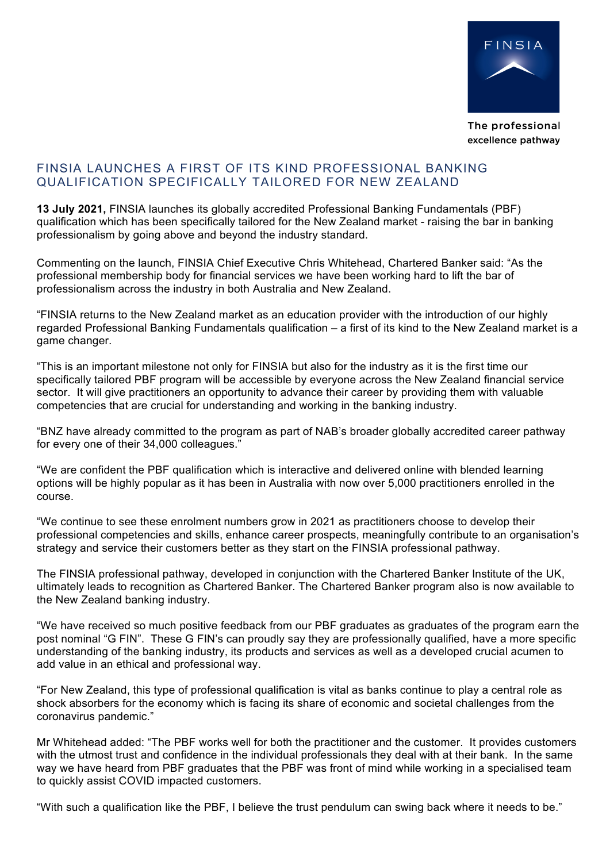

The professional excellence pathway

## FINSIA LAUNCHES A FIRST OF ITS KIND PROFESSIONAL BANKING QUALIFICATION SPECIFICALLY TAILORED FOR NEW ZEALAND

**13 July 2021,** FINSIA launches its globally accredited Professional Banking Fundamentals (PBF) qualification which has been specifically tailored for the New Zealand market - raising the bar in banking professionalism by going above and beyond the industry standard.

Commenting on the launch, FINSIA Chief Executive Chris Whitehead, Chartered Banker said: "As the professional membership body for financial services we have been working hard to lift the bar of professionalism across the industry in both Australia and New Zealand.

"FINSIA returns to the New Zealand market as an education provider with the introduction of our highly regarded Professional Banking Fundamentals qualification – a first of its kind to the New Zealand market is a game changer.

"This is an important milestone not only for FINSIA but also for the industry as it is the first time our specifically tailored PBF program will be accessible by everyone across the New Zealand financial service sector. It will give practitioners an opportunity to advance their career by providing them with valuable competencies that are crucial for understanding and working in the banking industry.

"BNZ have already committed to the program as part of NAB's broader globally accredited career pathway for every one of their 34,000 colleagues."

"We are confident the PBF qualification which is interactive and delivered online with blended learning options will be highly popular as it has been in Australia with now over 5,000 practitioners enrolled in the course.

"We continue to see these enrolment numbers grow in 2021 as practitioners choose to develop their professional competencies and skills, enhance career prospects, meaningfully contribute to an organisation's strategy and service their customers better as they start on the FINSIA professional pathway.

The FINSIA professional pathway, developed in conjunction with the Chartered Banker Institute of the UK, ultimately leads to recognition as Chartered Banker. The Chartered Banker program also is now available to the New Zealand banking industry.

"We have received so much positive feedback from our PBF graduates as graduates of the program earn the post nominal "G FIN". These G FIN's can proudly say they are professionally qualified, have a more specific understanding of the banking industry, its products and services as well as a developed crucial acumen to add value in an ethical and professional way.

"For New Zealand, this type of professional qualification is vital as banks continue to play a central role as shock absorbers for the economy which is facing its share of economic and societal challenges from the coronavirus pandemic."

Mr Whitehead added: "The PBF works well for both the practitioner and the customer. It provides customers with the utmost trust and confidence in the individual professionals they deal with at their bank. In the same way we have heard from PBF graduates that the PBF was front of mind while working in a specialised team to quickly assist COVID impacted customers.

"With such a qualification like the PBF, I believe the trust pendulum can swing back where it needs to be."